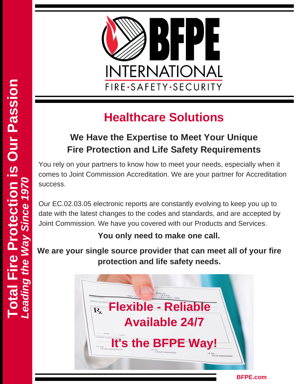

## **Healthcare Solutions**

## **We Have the Expertise to Meet Your Unique Fire Protection and Life Safety Requirements**

You rely on your partners to know how to meet your needs, especially when it comes to Joint Commission Accreditation. We are your partner for Accreditation success.

Our EC.02.03.05 electronic reports are constantly evolving to keep you up to date with the latest changes to the codes and standards, and are accepted by Joint Commission. We have you covered with our Products and Services.

### **You only need to make one call.**

**We are your single source provider that can meet all of your fire protection and life safety needs.**



**BFPE.com**